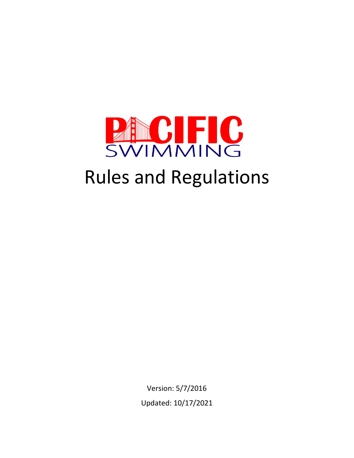

# Rules and Regulations

Version: 5/7/2016 Updated: 10/17/2021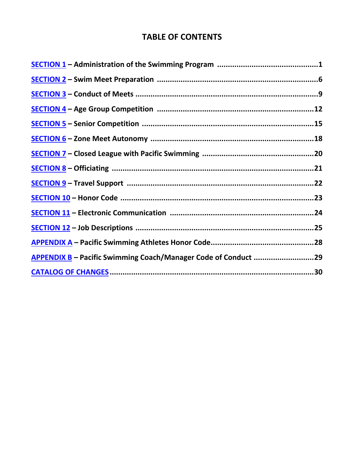# **TABLE OF CONTENTS**

| <b>APPENDIX B</b> - Pacific Swimming Coach/Manager Code of Conduct 29 |  |
|-----------------------------------------------------------------------|--|
|                                                                       |  |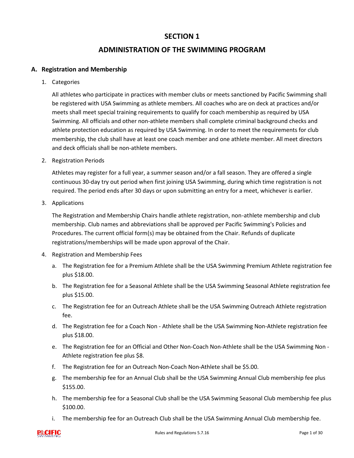# **ADMINISTRATION OF THE SWIMMING PROGRAM**

#### <span id="page-2-0"></span>**A. Registration and Membership**

1. Categories

All athletes who participate in practices with member clubs or meets sanctioned by Pacific Swimming shall be registered with USA Swimming as athlete members. All coaches who are on deck at practices and/or meets shall meet special training requirements to qualify for coach membership as required by USA Swimming. All officials and other non-athlete members shall complete criminal background checks and athlete protection education as required by USA Swimming. In order to meet the requirements for club membership, the club shall have at least one coach member and one athlete member. All meet directors and deck officials shall be non-athlete members.

2. Registration Periods

Athletes may register for a full year, a summer season and/or a fall season. They are offered a single continuous 30-day try out period when first joining USA Swimming, during which time registration is not required. The period ends after 30 days or upon submitting an entry for a meet, whichever is earlier.

3. Applications

The Registration and Membership Chairs handle athlete registration, non-athlete membership and club membership. Club names and abbreviations shall be approved per Pacific Swimming's Policies and Procedures. The current official form(s) may be obtained from the Chair. Refunds of duplicate registrations/memberships will be made upon approval of the Chair.

- 4. Registration and Membership Fees
	- a. The Registration fee for a Premium Athlete shall be the USA Swimming Premium Athlete registration fee plus \$18.00.
	- b. The Registration fee for a Seasonal Athlete shall be the USA Swimming Seasonal Athlete registration fee plus \$15.00.
	- c. The Registration fee for an Outreach Athlete shall be the USA Swimming Outreach Athlete registration fee.
	- d. The Registration fee for a Coach Non Athlete shall be the USA Swimming Non-Athlete registration fee plus \$18.00.
	- e. The Registration fee for an Official and Other Non-Coach Non-Athlete shall be the USA Swimming Non Athlete registration fee plus \$8.
	- f. The Registration fee for an Outreach Non-Coach Non-Athlete shall be \$5.00.
	- g. The membership fee for an Annual Club shall be the USA Swimming Annual Club membership fee plus \$155.00.
	- h. The membership fee for a Seasonal Club shall be the USA Swimming Seasonal Club membership fee plus \$100.00.
	- i. The membership fee for an Outreach Club shall be the USA Swimming Annual Club membership fee.

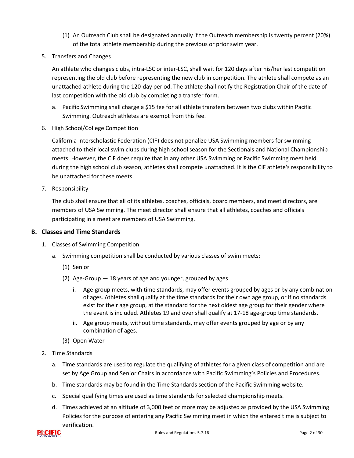- (1) An Outreach Club shall be designated annually if the Outreach membership is twenty percent (20%) of the total athlete membership during the previous or prior swim year.
- 5. Transfers and Changes

An athlete who changes clubs, intra-LSC or inter-LSC, shall wait for 120 days after his/her last competition representing the old club before representing the new club in competition. The athlete shall compete as an unattached athlete during the 120-day period. The athlete shall notify the Registration Chair of the date of last competition with the old club by completing a transfer form.

- a. Pacific Swimming shall charge a \$15 fee for all athlete transfers between two clubs within Pacific Swimming. Outreach athletes are exempt from this fee.
- 6. High School/College Competition

California Interscholastic Federation (CIF) does not penalize USA Swimming members for swimming attached to their local swim clubs during high school season for the Sectionals and National Championship meets. However, the CIF does require that in any other USA Swimming or Pacific Swimming meet held during the high school club season, athletes shall compete unattached. It is the CIF athlete's responsibility to be unattached for these meets.

7. Responsibility

The club shall ensure that all of its athletes, coaches, officials, board members, and meet directors, are members of USA Swimming. The meet director shall ensure that all athletes, coaches and officials participating in a meet are members of USA Swimming.

#### **B. Classes and Time Standards**

- 1. Classes of Swimming Competition
	- a. Swimming competition shall be conducted by various classes of swim meets:
		- (1) Senior
		- (2) Age-Group 18 years of age and younger, grouped by ages
			- i. Age-group meets, with time standards, may offer events grouped by ages or by any combination of ages. Athletes shall qualify at the time standards for their own age group, or if no standards exist for their age group, at the standard for the next oldest age group for their gender where the event is included. Athletes 19 and over shall qualify at 17-18 age-group time standards.
			- ii. Age group meets, without time standards, may offer events grouped by age or by any combination of ages.
		- (3) Open Water
- 2. Time Standards
	- a. Time standards are used to regulate the qualifying of athletes for a given class of competition and are set by Age Group and Senior Chairs in accordance with Pacific Swimming's Policies and Procedures.
	- b. Time standards may be found in the Time Standards section of the Pacific Swimming website.
	- c. Special qualifying times are used as time standards for selected championship meets.
	- d. Times achieved at an altitude of 3,000 feet or more may be adjusted as provided by the USA Swimming Policies for the purpose of entering any Pacific Swimming meet in which the entered time is subject to verification.

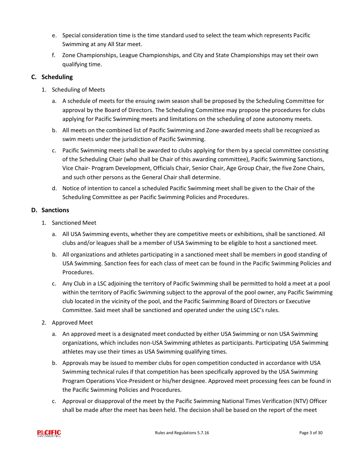- e. Special consideration time is the time standard used to select the team which represents Pacific Swimming at any All Star meet.
- f. Zone Championships, League Championships, and City and State Championships may set their own qualifying time.

# **C. Scheduling**

- 1. Scheduling of Meets
	- a. A schedule of meets for the ensuing swim season shall be proposed by the Scheduling Committee for approval by the Board of Directors. The Scheduling Committee may propose the procedures for clubs applying for Pacific Swimming meets and limitations on the scheduling of zone autonomy meets.
	- b. All meets on the combined list of Pacific Swimming and Zone-awarded meets shall be recognized as swim meets under the jurisdiction of Pacific Swimming.
	- c. Pacific Swimming meets shall be awarded to clubs applying for them by a special committee consisting of the Scheduling Chair (who shall be Chair of this awarding committee), Pacific Swimming Sanctions, Vice Chair- Program Development, Officials Chair, Senior Chair, Age Group Chair, the five Zone Chairs, and such other persons as the General Chair shall determine.
	- d. Notice of intention to cancel a scheduled Pacific Swimming meet shall be given to the Chair of the Scheduling Committee as per Pacific Swimming Policies and Procedures.

## **D. Sanctions**

- 1. Sanctioned Meet
	- a. All USA Swimming events, whether they are competitive meets or exhibitions, shall be sanctioned. All clubs and/or leagues shall be a member of USA Swimming to be eligible to host a sanctioned meet.
	- b. All organizations and athletes participating in a sanctioned meet shall be members in good standing of USA Swimming. Sanction fees for each class of meet can be found in the Pacific Swimming Policies and Procedures.
	- c. Any Club in a LSC adjoining the territory of Pacific Swimming shall be permitted to hold a meet at a pool within the territory of Pacific Swimming subject to the approval of the pool owner, any Pacific Swimming club located in the vicinity of the pool, and the Pacific Swimming Board of Directors or Executive Committee. Said meet shall be sanctioned and operated under the using LSC's rules.
- 2. Approved Meet
	- a. An approved meet is a designated meet conducted by either USA Swimming or non USA Swimming organizations, which includes non-USA Swimming athletes as participants. Participating USA Swimming athletes may use their times as USA Swimming qualifying times.
	- b. Approvals may be issued to member clubs for open competition conducted in accordance with USA Swimming technical rules if that competition has been specifically approved by the USA Swimming Program Operations Vice-President or his/her designee. Approved meet processing fees can be found in the Pacific Swimming Policies and Procedures.
	- c. Approval or disapproval of the meet by the Pacific Swimming National Times Verification (NTV) Officer shall be made after the meet has been held. The decision shall be based on the report of the meet

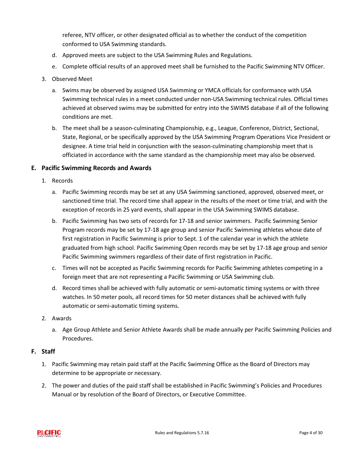referee, NTV officer, or other designated official as to whether the conduct of the competition conformed to USA Swimming standards.

- d. Approved meets are subject to the USA Swimming Rules and Regulations.
- e. Complete official results of an approved meet shall be furnished to the Pacific Swimming NTV Officer.
- 3. Observed Meet
	- a. Swims may be observed by assigned USA Swimming or YMCA officials for conformance with USA Swimming technical rules in a meet conducted under non-USA Swimming technical rules. Official times achieved at observed swims may be submitted for entry into the SWIMS database if all of the following conditions are met.
	- b. The meet shall be a season-culminating Championship, e.g., League, Conference, District, Sectional, State, Regional, or be specifically approved by the USA Swimming Program Operations Vice President or designee. A time trial held in conjunction with the season-culminating championship meet that is officiated in accordance with the same standard as the championship meet may also be observed.

#### **E. Pacific Swimming Records and Awards**

- 1. Records
	- a. Pacific Swimming records may be set at any USA Swimming sanctioned, approved, observed meet, or sanctioned time trial. The record time shall appear in the results of the meet or time trial, and with the exception of records in 25 yard events, shall appear in the USA Swimming SWIMS database.
	- b. Pacific Swimming has two sets of records for 17-18 and senior swimmers. Pacific Swimming Senior Program records may be set by 17-18 age group and senior Pacific Swimming athletes whose date of first registration in Pacific Swimming is prior to Sept. 1 of the calendar year in which the athlete graduated from high school. Pacific Swimming Open records may be set by 17-18 age group and senior Pacific Swimming swimmers regardless of their date of first registration in Pacific.
	- c. Times will not be accepted as Pacific Swimming records for Pacific Swimming athletes competing in a foreign meet that are not representing a Pacific Swimming or USA Swimming club.
	- d. Record times shall be achieved with fully automatic or semi-automatic timing systems or with three watches. In 50 meter pools, all record times for 50 meter distances shall be achieved with fully automatic or semi-automatic timing systems.
- 2. Awards
	- a. Age Group Athlete and Senior Athlete Awards shall be made annually per Pacific Swimming Policies and Procedures.

#### **F. Staff**

- 1. Pacific Swimming may retain paid staff at the Pacific Swimming Office as the Board of Directors may determine to be appropriate or necessary.
- 2. The power and duties of the paid staff shall be established in Pacific Swimming's Policies and Procedures Manual or by resolution of the Board of Directors, or Executive Committee.

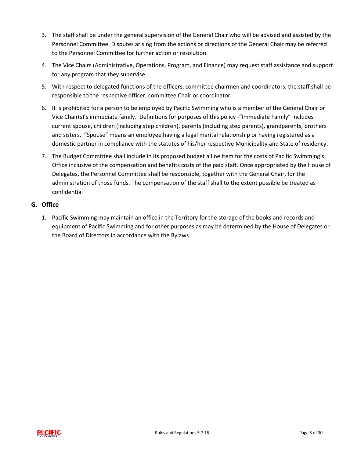- 3. The staff shall be under the general supervision of the General Chair who will be advised and assisted by the Personnel Committee. Disputes arising from the actions or directions of the General Chair may be referred to the Personnel Committee for further action or resolution.
- 4. The Vice Chairs (Administrative, Operations, Program, and Finance) may request staff assistance and support for any program that they supervise.
- 5. With respect to delegated functions of the officers, committee chairmen and coordinators, the staff shall be responsible to the respective officer, committee Chair or coordinator.
- 6. It is prohibited for a person to be employed by Pacific Swimming who is a member of the General Chair or Vice Chair(s)'s immediate family. Definitions for purposes of this policy -"Immediate Family" includes current spouse, children (including step children), parents (including step parents), grandparents, brothers and sisters. "Spouse" means an employee having a legal marital relationship or having registered as a domestic partner in compliance with the statutes of his/her respective Municipality and State of residency.
- 7. The Budget Committee shall include in its proposed budget a line item for the costs of Pacific Swimming's Office inclusive of the compensation and benefits costs of the paid staff. Once appropriated by the House of Delegates, the Personnel Committee shall be responsible, together with the General Chair, for the administration of those funds. The compensation of the staff shall to the extent possible be treated as confidential

## **G. Office**

1. Pacific Swimming may maintain an office in the Territory for the storage of the books and records and equipment of Pacific Swimming and for other purposes as may be determined by the House of Delegates or the Board of Directors in accordance with the Bylaws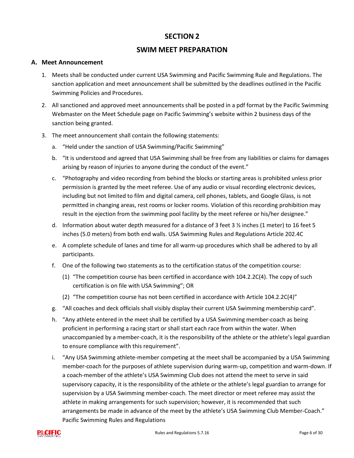# **SWIM MEET PREPARATION**

#### <span id="page-7-0"></span>**A. Meet Announcement**

- 1. Meets shall be conducted under current USA Swimming and Pacific Swimming Rule and Regulations. The sanction application and meet announcement shall be submitted by the deadlines outlined in the Pacific Swimming Policies and Procedures.
- 2. All sanctioned and approved meet announcements shall be posted in a pdf format by the Pacific Swimming Webmaster on the Meet Schedule page on Pacific Swimming's website within 2 business days of the sanction being granted.
- 3. The meet announcement shall contain the following statements:
	- a. "Held under the sanction of USA Swimming/Pacific Swimming"
	- b. "It is understood and agreed that USA Swimming shall be free from any liabilities or claims for damages arising by reason of injuries to anyone during the conduct of the event."
	- c. "Photography and video recording from behind the blocks or starting areas is prohibited unless prior permission is granted by the meet referee. Use of any audio or visual recording electronic devices, including but not limited to film and digital camera, cell phones, tablets, and Google Glass, is not permitted in changing areas, rest rooms or locker rooms. Violation of this recording prohibition may result in the ejection from the swimming pool facility by the meet referee or his/her designee."
	- d. Information about water depth measured for a distance of 3 feet 3 ½ inches (1 meter) to 16 feet 5 inches (5.0 meters) from both end walls. USA Swimming Rules and Regulations Article 202.4C
	- e. A complete schedule of lanes and time for all warm-up procedures which shall be adhered to by all participants.
	- f. One of the following two statements as to the certification status of the competition course:
		- (1) "The competition course has been certified in accordance with 104.2.2C(4). The copy of such certification is on file with USA Swimming"; OR
		- (2) "The competition course has not been certified in accordance with Article 104.2.2C(4)"
	- g. "All coaches and deck officials shall visibly display their current USA Swimming membership card".
	- h. "Any athlete entered in the meet shall be certified by a USA Swimming member-coach as being proficient in performing a racing start or shall start each race from within the water. When unaccompanied by a member-coach, it is the responsibility of the athlete or the athlete's legal guardian to ensure compliance with this requirement".
	- i. "Any USA Swimming athlete-member competing at the meet shall be accompanied by a USA Swimming member-coach for the purposes of athlete supervision during warm-up, competition and warm-down. If a coach-member of the athlete's USA Swimming Club does not attend the meet to serve in said supervisory capacity, it is the responsibility of the athlete or the athlete's legal guardian to arrange for supervision by a USA Swimming member-coach. The meet director or meet referee may assist the athlete in making arrangements for such supervision; however, it is recommended that such arrangements be made in advance of the meet by the athlete's USA Swimming Club Member-Coach." Pacific Swimming Rules and Regulations

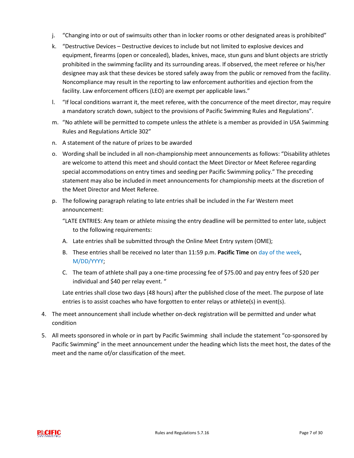- j. "Changing into or out of swimsuits other than in locker rooms or other designated areas is prohibited"
- k. "Destructive Devices Destructive devices to include but not limited to explosive devices and equipment, firearms (open or concealed), blades, knives, mace, stun guns and blunt objects are strictly prohibited in the swimming facility and its surrounding areas. If observed, the meet referee or his/her designee may ask that these devices be stored safely away from the public or removed from the facility. Noncompliance may result in the reporting to law enforcement authorities and ejection from the facility. Law enforcement officers (LEO) are exempt per applicable laws."
- l. "If local conditions warrant it, the meet referee, with the concurrence of the meet director, may require a mandatory scratch down, subject to the provisions of Pacific Swimming Rules and Regulations".
- m. "No athlete will be permitted to compete unless the athlete is a member as provided in USA Swimming Rules and Regulations Article 302"
- n. A statement of the nature of prizes to be awarded
- o. Wording shall be included in all non-championship meet announcements as follows: "Disability athletes are welcome to attend this meet and should contact the Meet Director or Meet Referee regarding special accommodations on entry times and seeding per Pacific Swimming policy." The preceding statement may also be included in meet announcements for championship meets at the discretion of the Meet Director and Meet Referee.
- p. The following paragraph relating to late entries shall be included in the Far Western meet announcement:
	- "LATE ENTRIES: Any team or athlete missing the entry deadline will be permitted to enter late, subject to the following requirements:
	- A. Late entries shall be submitted through the Online Meet Entry system (OME);
	- B. These entries shall be received no later than 11:59 p.m. **Pacific Time** on day of the week, M/DD/YYYY;
	- C. The team of athlete shall pay a one-time processing fee of \$75.00 and pay entry fees of \$20 per individual and \$40 per relay event. "

Late entries shall close two days (48 hours) after the published close of the meet. The purpose of late entries is to assist coaches who have forgotten to enter relays or athlete(s) in event(s).

- 4. The meet announcement shall include whether on-deck registration will be permitted and under what condition
- 5. All meets sponsored in whole or in part by Pacific Swimming shall include the statement "co-sponsored by Pacific Swimming" in the meet announcement under the heading which lists the meet host, the dates of the meet and the name of/or classification of the meet.

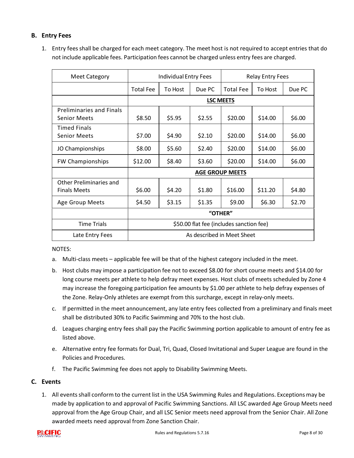#### **B. Entry Fees**

| <b>Meet Category</b>                                   | Individual Entry Fees                    |         | <b>Relay Entry Fees</b> |                  |         |        |
|--------------------------------------------------------|------------------------------------------|---------|-------------------------|------------------|---------|--------|
|                                                        | <b>Total Fee</b>                         | To Host | Due PC                  | <b>Total Fee</b> | To Host | Due PC |
|                                                        | <b>LSC MEETS</b>                         |         |                         |                  |         |        |
| <b>Preliminaries and Finals</b><br><b>Senior Meets</b> | \$8.50                                   | \$5.95  | \$2.55                  | \$20.00          | \$14.00 | \$6.00 |
| <b>Timed Finals</b><br><b>Senior Meets</b>             | \$7.00                                   | \$4.90  | \$2.10                  | \$20.00          | \$14.00 | \$6.00 |
| JO Championships                                       | \$8.00                                   | \$5.60  | \$2.40                  | \$20.00          | \$14.00 | \$6.00 |
| <b>FW Championships</b>                                | \$12.00                                  | \$8.40  | \$3.60                  | \$20.00          | \$14.00 | \$6.00 |
|                                                        | <b>AGE GROUP MEETS</b>                   |         |                         |                  |         |        |
| Other Preliminaries and<br><b>Finals Meets</b>         | \$6.00                                   | \$4.20  | \$1.80                  | \$16.00          | \$11.20 | \$4.80 |
| Age Group Meets                                        | \$4.50                                   | \$3.15  | \$1.35                  | \$9.00           | \$6.30  | \$2.70 |
|                                                        | "OTHER"                                  |         |                         |                  |         |        |
| <b>Time Trials</b>                                     | \$50.00 flat fee (includes sanction fee) |         |                         |                  |         |        |
| Late Entry Fees                                        | As described in Meet Sheet               |         |                         |                  |         |        |

1. Entry feesshall be charged for each meet category. The meet host is not required to accept entries that do not include applicable fees. Participation fees cannot be charged unless entry fees are charged.

NOTES:

- a. Multi-class meets applicable fee will be that of the highest category included in the meet.
- b. Host clubs may impose a participation fee not to exceed \$8.00 for short course meets and \$14.00 for long course meets per athlete to help defray meet expenses. Host clubs of meets scheduled by Zone 4 may increase the foregoing participation fee amounts by \$1.00 per athlete to help defray expenses of the Zone. Relay-Only athletes are exempt from this surcharge, except in relay-only meets.
- c. If permitted in the meet announcement, any late entry fees collected from a preliminary and finals meet shall be distributed 30% to Pacific Swimming and 70% to the host club.
- d. Leagues charging entry fees shall pay the Pacific Swimming portion applicable to amount of entry fee as listed above.
- e. Alternative entry fee formats for Dual, Tri, Quad, Closed Invitational and Super League are found in the Policies and Procedures.
- f. The Pacific Swimming fee does not apply to Disability Swimming Meets.

## **C. Events**

1. All eventsshall conform to the current list in the USA Swimming Rules and Regulations. Exceptions may be made by application to and approval of Pacific Swimming Sanctions. All LSC awarded Age Group Meets need approval from the Age Group Chair, and all LSC Senior meets need approval from the Senior Chair. All Zone awarded meets need approval from Zone Sanction Chair.

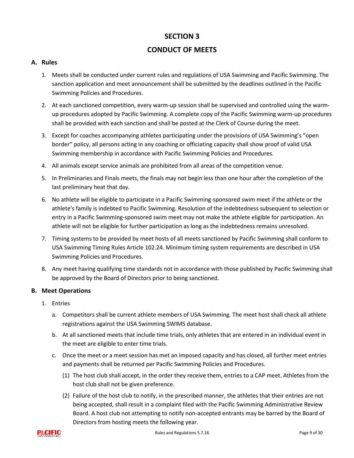# **CONDUCT OF MEETS**

#### **A. Rules**

- 1. Meets shall be conducted under current rules and regulations of USA Swimming and Pacific Swimming. The sanction application and meet announcement shall be submitted by the deadlines outlined in the Pacific Swimming Policies and Procedures.
- 2. At each sanctioned competition, every warm-up session shall be supervised and controlled using the warmup procedures adopted by Pacific Swimming. A complete copy of the Pacific Swimming warm-up procedures shall be provided with each sanction and shall be posted at the Clerk of Course during the meet.
- 3. Except for coaches accompanying athletes participating under the provisions of USA Swimming's "open border" policy, all persons acting in any coaching or officiating capacity shall show proof of valid USA Swimming membership in accordance with Pacific Swimming Policies and Procedures.
- 4. All animals except service animals are prohibited from all areas of the competition venue.
- 5. In Preliminaries and Finals meets, the finals may not begin less than one hour after the completion of the last preliminary heat that day.
- 6. No athlete will be eligible to participate in a Pacific Swimming-sponsored swim meet if the athlete or the athlete's family is indebted to Pacific Swimming. Resolution of the indebtedness subsequent to selection or entry in a Pacific Swimming-sponsored swim meet may not make the athlete eligible for participation. An athlete will not be eligible for further participation as long as the indebtedness remains unresolved.
- 7. Timing systems to be provided by meet hosts of all meets sanctioned by Pacific Swimming shall conform to USA Swimming Timing Rules Article 102.24. Minimum timing system requirements are described in USA Swimming Policies and Procedures.
- 8. Any meet having qualifying time standards not in accordance with those published by Pacific Swimming shall be approved by the Board of Directors prior to being sanctioned.

#### **B. Meet Operations**

- 1. Entries
	- a. Competitors shall be current athlete members of USA Swimming. The meet host shall check all athlete registrations against the USA Swimming SWIMS database.
	- b. At all sanctioned meets that include time trials, only athletes that are entered in an individual event in the meet are eligible to enter time trials.
	- c. Once the meet or a meet session has met an imposed capacity and has closed, all further meet entries and payments shall be returned per Pacific Swimming Policies and Procedures.
		- (1) The host club shall accept, in the order they receive them, entries to a CAP meet. Athletes from the host club shall not be given preference.
		- (2) Failure of the host club to notify, in the prescribed manner, the athletes that their entries are not being accepted, shall result in a complaint filed with the Pacific Swimming Administrative Review Board. A host club not attempting to notify non-accepted entrants may be barred by the Board of Directors from hosting meets the following year.

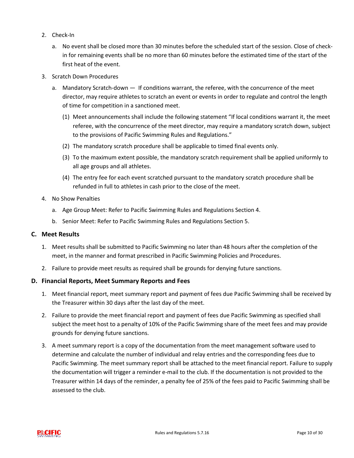- 2. Check-In
	- a. No event shall be closed more than 30 minutes before the scheduled start of the session. Close of checkin for remaining events shall be no more than 60 minutes before the estimated time of the start of the first heat of the event.
- 3. Scratch Down Procedures
	- a. Mandatory Scratch-down If conditions warrant, the referee, with the concurrence of the meet director, may require athletes to scratch an event or events in order to regulate and control the length of time for competition in a sanctioned meet.
		- (1) Meet announcements shall include the following statement "If local conditions warrant it, the meet referee, with the concurrence of the meet director, may require a mandatory scratch down, subject to the provisions of Pacific Swimming Rules and Regulations."
		- (2) The mandatory scratch procedure shall be applicable to timed final events only.
		- (3) To the maximum extent possible, the mandatory scratch requirement shall be applied uniformly to all age groups and all athletes.
		- (4) The entry fee for each event scratched pursuant to the mandatory scratch procedure shall be refunded in full to athletes in cash prior to the close of the meet.
- 4. No Show Penalties
	- a. Age Group Meet: Refer to Pacific Swimming Rules and Regulations Section 4.
	- b. Senior Meet: Refer to Pacific Swimming Rules and Regulations Section 5.

#### **C. Meet Results**

- 1. Meet results shall be submitted to Pacific Swimming no later than 48 hours after the completion of the meet, in the manner and format prescribed in Pacific Swimming Policies and Procedures.
- 2. Failure to provide meet results as required shall be grounds for denying future sanctions.

#### **D. Financial Reports, Meet Summary Reports and Fees**

- 1. Meet financial report, meet summary report and payment of fees due Pacific Swimming shall be received by the Treasurer within 30 days after the last day of the meet.
- 2. Failure to provide the meet financial report and payment of fees due Pacific Swimming as specified shall subject the meet host to a penalty of 10% of the Pacific Swimming share of the meet fees and may provide grounds for denying future sanctions.
- 3. A meet summary report is a copy of the documentation from the meet management software used to determine and calculate the number of individual and relay entries and the corresponding fees due to Pacific Swimming. The meet summary report shall be attached to the meet financial report. Failure to supply the documentation will trigger a reminder e-mail to the club. If the documentation is not provided to the Treasurer within 14 days of the reminder, a penalty fee of 25% of the fees paid to Pacific Swimming shall be assessed to the club.

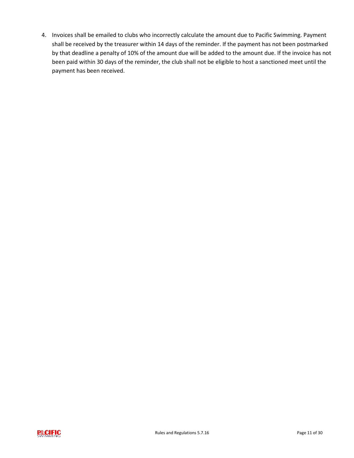4. Invoices shall be emailed to clubs who incorrectly calculate the amount due to Pacific Swimming. Payment shall be received by the treasurer within 14 days of the reminder. If the payment has not been postmarked by that deadline a penalty of 10% of the amount due will be added to the amount due. If the invoice has not been paid within 30 days of the reminder, the club shall not be eligible to host a sanctioned meet until the payment has been received.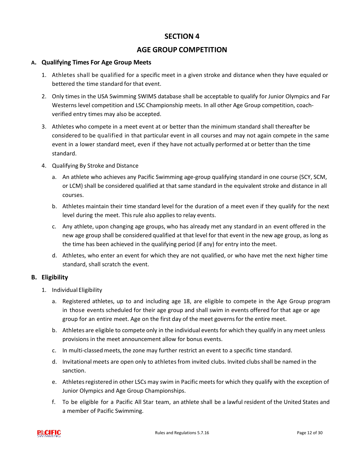# **AGE GROUP COMPETITION**

#### <span id="page-13-0"></span>**A. Qualifying Times For Age Group Meets**

- 1. Athletes shall be qualified for a specific meet in a given stroke and distance when they have equaled or bettered the time standard for that event.
- 2. Only times in the USA Swimming SWIMS database shall be acceptable to qualify for Junior Olympics and Far Westerns level competition and LSC Championship meets. In all other Age Group competition, coachverified entry times may also be accepted.
- 3. Athletes who compete in a meet event at or better than the minimum standard shall thereafter be considered to be qualified in that particular event in all courses and may not again compete in the same event in a lower standard meet, even if they have not actually performed at or better than the time standard.
- 4. Qualifying By Stroke and Distance
	- a. An athlete who achieves any Pacific Swimming age-group qualifying standard in one course (SCY, SCM, or LCM) shall be considered qualified at that same standard in the equivalent stroke and distance in all courses.
	- b. Athletes maintain their time standard level for the duration of a meet even if they qualify for the next level during the meet. This rule also applies to relay events.
	- c. Any athlete, upon changing age groups, who has already met any standard in an event offered in the new age group shall be considered qualified at that level for that event in the new age group, as long as the time has been achieved in the qualifying period (if any) for entry into the meet.
	- d. Athletes, who enter an event for which they are not qualified, or who have met the next higher time standard, shall scratch the event.

#### **B. Eligibility**

- 1. Individual Eligibility
	- a. Registered athletes, up to and including age 18, are eligible to compete in the Age Group program in those events scheduled for their age group and shall swim in events offered for that age or age group for an entire meet. Age on the first day of the meet governsfor the entire meet.
	- b. Athletes are eligible to compete only in the individual events for which they qualify in any meet unless provisions in the meet announcement allow for bonus events.
	- c. In multi-classed meets, the zone may further restrict an event to a specific time standard.
	- d. Invitational meets are open only to athletesfrom invited clubs. Invited clubs shall be named in the sanction.
	- e. Athletes registered in other LSCs may swim in Pacific meets for which they qualify with the exception of Junior Olympics and Age Group Championships.
	- f. To be eligible for a Pacific All Star team, an athlete shall be a lawful resident of the United States and a member of Pacific Swimming.

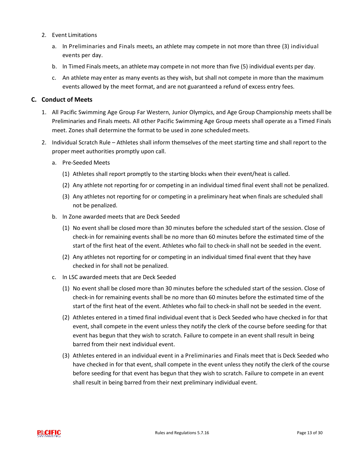- 2. Event Limitations
	- a. In Preliminaries and Finals meets, an athlete may compete in not more than three (3) individual events per day.
	- b. In Timed Finals meets, an athlete may compete in not more than five (5) individual events per day.
	- c. An athlete may enter as many events as they wish, but shall not compete in more than the maximum events allowed by the meet format, and are not guaranteed a refund of excess entry fees.

#### **C. Conduct of Meets**

- 1. All Pacific Swimming Age Group Far Western, Junior Olympics, and Age Group Championship meets shall be Preliminaries and Finals meets. All other Pacific Swimming Age Group meets shall operate as a Timed Finals meet. Zones shall determine the format to be used in zone scheduled meets.
- 2. Individual Scratch Rule Athletes shall inform themselves of the meet starting time and shall report to the proper meet authorities promptly upon call.
	- a. Pre-Seeded Meets
		- (1) Athletes shall report promptly to the starting blocks when their event/heat is called.
		- (2) Any athlete not reporting for or competing in an individual timed final event shall not be penalized.
		- (3) Any athletes not reporting for or competing in a preliminary heat when finals are scheduled shall not be penalized.
	- b. In Zone awarded meets that are Deck Seeded
		- (1) No event shall be closed more than 30 minutes before the scheduled start of the session. Close of check-in for remaining events shall be no more than 60 minutes before the estimated time of the start of the first heat of the event. Athletes who fail to check-in shall not be seeded in the event.
		- (2) Any athletes not reporting for or competing in an individual timed final event that they have checked in for shall not be penalized.
	- c. In LSC awarded meets that are Deck Seeded
		- (1) No event shall be closed more than 30 minutes before the scheduled start of the session. Close of check-in for remaining events shall be no more than 60 minutes before the estimated time of the start of the first heat of the event. Athletes who fail to check-in shall not be seeded in the event.
		- (2) Athletes entered in a timed final individual event that is Deck Seeded who have checked in for that event, shall compete in the event unless they notify the clerk of the course before seeding for that event has begun that they wish to scratch. Failure to compete in an event shall result in being barred from their next individual event.
		- (3) Athletes entered in an individual event in a Preliminaries and Finals meet that is Deck Seeded who have checked in for that event, shall compete in the event unless they notify the clerk of the course before seeding for that event has begun that they wish to scratch. Failure to compete in an event shall result in being barred from their next preliminary individual event.

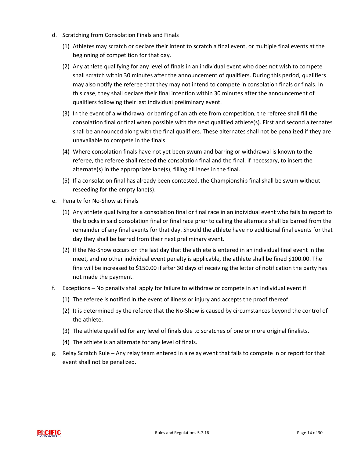- d. Scratching from Consolation Finals and Finals
	- (1) Athletes may scratch or declare their intent to scratch a final event, or multiple final events at the beginning of competition for that day.
	- (2) Any athlete qualifying for any level of finals in an individual event who does not wish to compete shall scratch within 30 minutes after the announcement of qualifiers. During this period, qualifiers may also notify the referee that they may not intend to compete in consolation finals or finals. In this case, they shall declare their final intention within 30 minutes after the announcement of qualifiers following their last individual preliminary event.
	- (3) In the event of a withdrawal or barring of an athlete from competition, the referee shall fill the consolation final or final when possible with the next qualified athlete(s). First and second alternates shall be announced along with the final qualifiers. These alternates shall not be penalized if they are unavailable to compete in the finals.
	- (4) Where consolation finals have not yet been swum and barring or withdrawal is known to the referee, the referee shall reseed the consolation final and the final, if necessary, to insert the alternate(s) in the appropriate lane(s), filling all lanes in the final.
	- (5) If a consolation final has already been contested, the Championship final shall be swum without reseeding for the empty lane(s).
- e. Penalty for No-Show at Finals
	- (1) Any athlete qualifying for a consolation final or final race in an individual event who fails to report to the blocks in said consolation final or final race prior to calling the alternate shall be barred from the remainder of any final events for that day. Should the athlete have no additional final events for that day they shall be barred from their next preliminary event.
	- (2) If the No-Show occurs on the last day that the athlete is entered in an individual final event in the meet, and no other individual event penalty is applicable, the athlete shall be fined \$100.00. The fine will be increased to \$150.00 if after 30 days of receiving the letter of notification the party has not made the payment.
- f. Exceptions No penalty shall apply for failure to withdraw or compete in an individual event if:
	- (1) The referee is notified in the event of illness or injury and accepts the proof thereof.
	- (2) It is determined by the referee that the No-Show is caused by circumstances beyond the control of the athlete.
	- (3) The athlete qualified for any level of finals due to scratches of one or more original finalists.
	- (4) The athlete is an alternate for any level of finals.
- g. Relay Scratch Rule Any relay team entered in a relay event that fails to compete in or report for that event shall not be penalized.

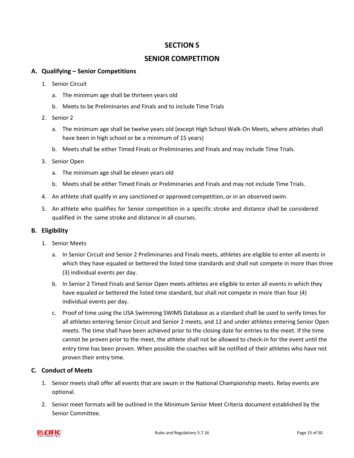# **SENIOR COMPETITION**

#### <span id="page-16-0"></span>**A. Qualifying – Senior Competitions**

- 1. Senior Circuit
	- a. The minimum age shall be thirteen years old
	- b. Meets to be Preliminaries and Finals and to include Time Trials
- 2. Senior 2
	- a. The minimum age shall be twelve years old (except High School Walk-On Meets, where athletes shall have been in high school or be a minimum of 15 years)
	- b. Meets shall be either Timed Finals or Preliminaries and Finals and may include Time Trials.
- 3. Senior Open
	- a. The minimum age shall be eleven years old
	- b. Meets shall be either Timed Finals or Preliminaries and Finals and may not include Time Trials.
- 4. An athlete shall qualify in any sanctioned or approved competition, or in an observed swim.
- 5. An athlete who qualifies for Senior competition in a specific stroke and distance shall be considered qualified in the same stroke and distance in all courses.

#### **B. Eligibility**

- 1. Senior Meets
	- a. In Senior Circuit and Senior 2 Preliminaries and Finals meets, athletes are eligible to enter all events in which they have equaled or bettered the listed time standards and shall not compete in more than three (3) individual events per day.
	- b. In Senior 2 Timed Finals and Senior Open meets athletes are eligible to enter all events in which they have equaled or bettered the listed time standard, but shall not compete in more than four (4) individual events per day.
	- c. Proof of time using the USA Swimming SWIMS Database as a standard shall be used to verify times for all athletes entering Senior Circuit and Senior 2 meets, and 12 and under athletes entering Senior Open meets. The time shall have been achieved prior to the closing date for entries to the meet. If the time cannot be proven prior to the meet, the athlete shall not be allowed to check-in for the event until the entry time has been proven. When possible the coaches will be notified of their athletes who have not proven their entry time.

# **C. Conduct of Meets**

- 1. Senior meets shall offer all events that are swum in the National Championship meets. Relay events are optional.
- 2. Senior meet formats will be outlined in the Minimum Senior Meet Criteria document established by the Senior Committee.

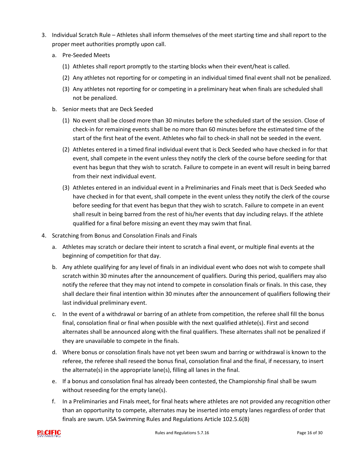- 3. Individual Scratch Rule Athletes shall inform themselves of the meet starting time and shall report to the proper meet authorities promptly upon call.
	- a. Pre-Seeded Meets
		- (1) Athletes shall report promptly to the starting blocks when their event/heat is called.
		- (2) Any athletes not reporting for or competing in an individual timed final event shall not be penalized.
		- (3) Any athletes not reporting for or competing in a preliminary heat when finals are scheduled shall not be penalized.
	- b. Senior meets that are Deck Seeded
		- (1) No event shall be closed more than 30 minutes before the scheduled start of the session. Close of check-in for remaining events shall be no more than 60 minutes before the estimated time of the start of the first heat of the event. Athletes who fail to check-in shall not be seeded in the event.
		- (2) Athletes entered in a timed final individual event that is Deck Seeded who have checked in for that event, shall compete in the event unless they notify the clerk of the course before seeding for that event has begun that they wish to scratch. Failure to compete in an event will result in being barred from their next individual event.
		- (3) Athletes entered in an individual event in a Preliminaries and Finals meet that is Deck Seeded who have checked in for that event, shall compete in the event unless they notify the clerk of the course before seeding for that event has begun that they wish to scratch. Failure to compete in an event shall result in being barred from the rest of his/her events that day including relays. If the athlete qualified for a final before missing an event they may swim that final.
- 4. Scratching from Bonus and Consolation Finals and Finals
	- a. Athletes may scratch or declare their intent to scratch a final event, or multiple final events at the beginning of competition for that day.
	- b. Any athlete qualifying for any level of finals in an individual event who does not wish to compete shall scratch within 30 minutes after the announcement of qualifiers. During this period, qualifiers may also notify the referee that they may not intend to compete in consolation finals or finals. In this case, they shall declare their final intention within 30 minutes after the announcement of qualifiers following their last individual preliminary event.
	- c. In the event of a withdrawal or barring of an athlete from competition, the referee shall fill the bonus final, consolation final or final when possible with the next qualified athlete(s). First and second alternates shall be announced along with the final qualifiers. These alternates shall not be penalized if they are unavailable to compete in the finals.
	- d. Where bonus or consolation finals have not yet been swum and barring or withdrawal is known to the referee, the referee shall reseed the bonus final, consolation final and the final, if necessary, to insert the alternate(s) in the appropriate lane(s), filling all lanes in the final.
	- e. If a bonus and consolation final has already been contested, the Championship final shall be swum without reseeding for the empty lane(s).
	- f. In a Preliminaries and Finals meet, for final heats where athletes are not provided any recognition other than an opportunity to compete, alternates may be inserted into empty lanes regardless of order that finals are swum. USA Swimming Rules and Regulations Article 102.5.6(B)

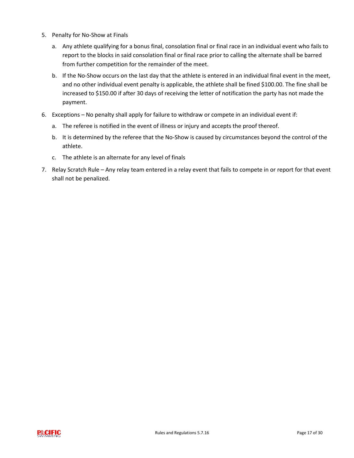- 5. Penalty for No-Show at Finals
	- a. Any athlete qualifying for a bonus final, consolation final or final race in an individual event who fails to report to the blocks in said consolation final or final race prior to calling the alternate shall be barred from further competition for the remainder of the meet.
	- b. If the No-Show occurs on the last day that the athlete is entered in an individual final event in the meet, and no other individual event penalty is applicable, the athlete shall be fined \$100.00. The fine shall be increased to \$150.00 if after 30 days of receiving the letter of notification the party has not made the payment.
- 6. Exceptions No penalty shall apply for failure to withdraw or compete in an individual event if:
	- a. The referee is notified in the event of illness or injury and accepts the proof thereof.
	- b. It is determined by the referee that the No-Show is caused by circumstances beyond the control of the athlete.
	- c. The athlete is an alternate for any level of finals
- 7. Relay Scratch Rule Any relay team entered in a relay event that fails to compete in or report for that event shall not be penalized.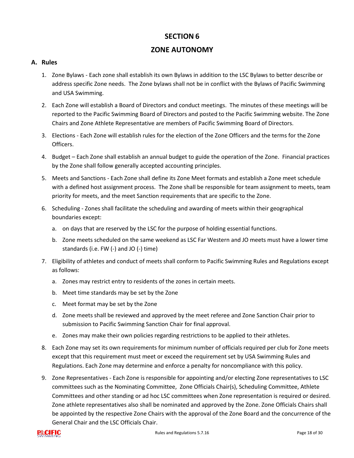# **ZONE AUTONOMY**

#### <span id="page-19-0"></span>**A. Rules**

- 1. Zone Bylaws Each zone shall establish its own Bylaws in addition to the LSC Bylaws to better describe or address specific Zone needs. The Zone bylaws shall not be in conflict with the Bylaws of Pacific Swimming and USA Swimming.
- 2. Each Zone will establish a Board of Directors and conduct meetings. The minutes of these meetings will be reported to the Pacific Swimming Board of Directors and posted to the Pacific Swimming website. The Zone Chairs and Zone Athlete Representative are members of Pacific Swimming Board of Directors.
- 3. Elections Each Zone will establish rules for the election of the Zone Officers and the terms for the Zone Officers.
- 4. Budget Each Zone shall establish an annual budget to guide the operation of the Zone. Financial practices by the Zone shall follow generally accepted accounting principles.
- 5. Meets and Sanctions Each Zone shall define its Zone Meet formats and establish a Zone meet schedule with a defined host assignment process. The Zone shall be responsible for team assignment to meets, team priority for meets, and the meet Sanction requirements that are specific to the Zone.
- 6. Scheduling Zones shall facilitate the scheduling and awarding of meets within their geographical boundaries except:
	- a. on days that are reserved by the LSC for the purpose of holding essential functions.
	- b. Zone meets scheduled on the same weekend as LSC Far Western and JO meets must have a lower time standards (i.e. FW (-) and JO (-) time)
- 7. Eligibility of athletes and conduct of meets shall conform to Pacific Swimming Rules and Regulations except as follows:
	- a. Zones may restrict entry to residents of the zones in certain meets.
	- b. Meet time standards may be set by the Zone
	- c. Meet format may be set by the Zone
	- d. Zone meets shall be reviewed and approved by the meet referee and Zone Sanction Chair prior to submission to Pacific Swimming Sanction Chair for final approval.
	- e. Zones may make their own policies regarding restrictions to be applied to their athletes.
- 8. Each Zone may set its own requirements for minimum number of officials required per club for Zone meets except that this requirement must meet or exceed the requirement set by USA Swimming Rules and Regulations. Each Zone may determine and enforce a penalty for noncompliance with this policy.
- 9. Zone Representatives Each Zone is responsible for appointing and/or electing Zone representatives to LSC committees such as the Nominating Committee, Zone Officials Chair(s), Scheduling Committee, Athlete Committees and other standing or ad hoc LSC committees when Zone representation is required or desired. Zone athlete representatives also shall be nominated and approved by the Zone. Zone Officials Chairs shall be appointed by the respective Zone Chairs with the approval of the Zone Board and the concurrence of the General Chair and the LSC Officials Chair.

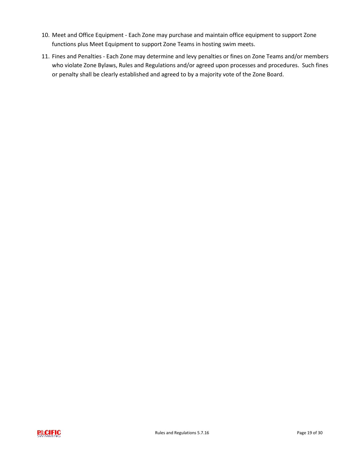- 10. Meet and Office Equipment Each Zone may purchase and maintain office equipment to support Zone functions plus Meet Equipment to support Zone Teams in hosting swim meets.
- 11. Fines and Penalties Each Zone may determine and levy penalties or fines on Zone Teams and/or members who violate Zone Bylaws, Rules and Regulations and/or agreed upon processes and procedures. Such fines or penalty shall be clearly established and agreed to by a majority vote of the Zone Board.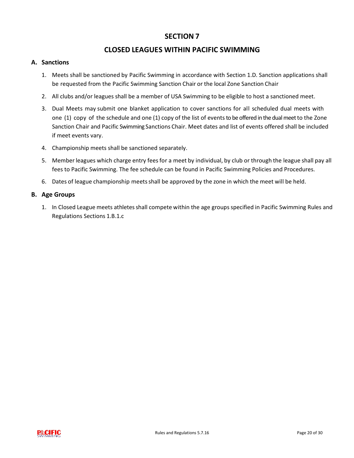# **CLOSED LEAGUES WITHIN PACIFIC SWIMMING**

#### <span id="page-21-0"></span>**A. Sanctions**

- 1. Meets shall be sanctioned by Pacific Swimming in accordance with Section 1.D. Sanction applications shall be requested from the Pacific Swimming Sanction Chair or the local Zone Sanction Chair
- 2. All clubs and/or leagues shall be a member of USA Swimming to be eligible to host a sanctioned meet.
- 3. Dual Meets may submit one blanket application to cover sanctions for all scheduled dual meets with one (1) copy of the schedule and one (1) copy of the list of events to be offered in the dual meet to the Zone Sanction Chair and Pacific Swimming Sanctions Chair. Meet dates and list of events offered shall be included if meet events vary.
- 4. Championship meets shall be sanctioned separately.
- 5. Memberleagues which charge entry feesfor a meet by individual, by club or through the league shall pay all fees to Pacific Swimming. The fee schedule can be found in Pacific Swimming Policies and Procedures.
- 6. Dates of league championship meetsshall be approved by the zone in which the meet will be held.

#### **B. Age Groups**

1. In Closed League meets athletes shall compete within the age groups specified in Pacific Swimming Rules and Regulations Sections 1.B.1.c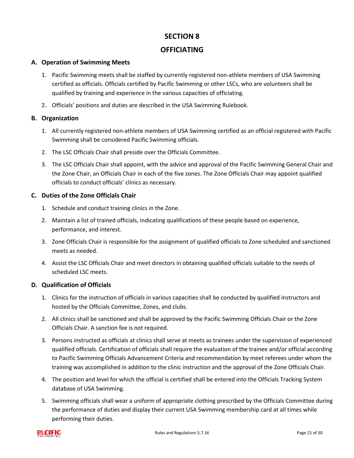# **OFFICIATING**

#### <span id="page-22-0"></span>**A. Operation of Swimming Meets**

- 1. Pacific Swimming meets shall be staffed by currently registered non-athlete members of USA Swimming certified as officials. Officials certified by Pacific Swimming or other LSCs, who are volunteers shall be qualified by training and experience in the various capacities of officiating.
- 2. Officials' positions and duties are described in the USA Swimming Rulebook.

#### **B. Organization**

- 1. All currently registered non-athlete members of USA Swimming certified as an official registered with Pacific Swimming shall be considered Pacific Swimming officials.
- 2. The LSC Officials Chair shall preside over the Officials Committee.
- 3. The LSC Officials Chair shall appoint, with the advice and approval of the Pacific Swimming General Chair and the Zone Chair, an Officials Chair in each of the five zones. The Zone Officials Chair may appoint qualified officials to conduct officials' clinics as necessary.

#### **C. Duties of the Zone Officials Chair**

- 1. Schedule and conduct training clinics in the Zone.
- 2. Maintain a list of trained officials, indicating qualifications of these people based on experience, performance, and interest.
- 3. Zone Officials Chair is responsible for the assignment of qualified officials to Zone scheduled and sanctioned meets as needed.
- 4. Assist the LSC Officials Chair and meet directors in obtaining qualified officials suitable to the needs of scheduled LSC meets.

#### **D. Qualification of Officials**

- 1. Clinics for the instruction of officials in various capacities shall be conducted by qualified instructors and hosted by the Officials Committee, Zones, and clubs.
- 2. All clinics shall be sanctioned and shall be approved by the Pacific Swimming Officials Chair or the Zone Officials Chair. A sanction fee is not required.
- 3. Persons instructed as officials at clinics shall serve at meets as trainees under the supervision of experienced qualified officials. Certification of officials shall require the evaluation of the trainee and/or official according to Pacific Swimming Officials Advancement Criteria and recommendation by meet referees under whom the training was accomplished in addition to the clinic instruction and the approval of the Zone Officials Chair.
- 4. The position and level for which the official is certified shall be entered into the Officials Tracking System database of USA Swimming.
- 5. Swimming officials shall wear a uniform of appropriate clothing prescribed by the Officials Committee during the performance of duties and display their current USA Swimming membership card at all times while performing their duties.

<span id="page-22-1"></span>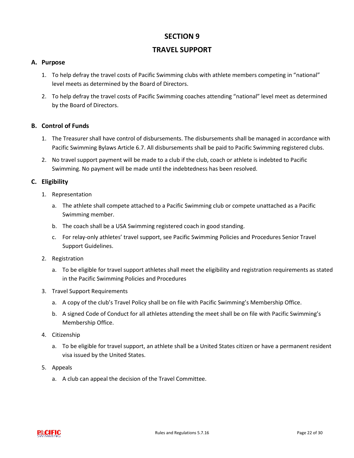# **TRAVEL SUPPORT**

#### **A. Purpose**

- 1. To help defray the travel costs of Pacific Swimming clubs with athlete members competing in "national" level meets as determined by the Board of Directors.
- 2. To help defray the travel costs of Pacific Swimming coaches attending "national" level meet as determined by the Board of Directors.

#### **B. Control of Funds**

- 1. The Treasurer shall have control of disbursements. The disbursements shall be managed in accordance with Pacific Swimming Bylaws Article 6.7. All disbursements shall be paid to Pacific Swimming registered clubs.
- 2. No travel support payment will be made to a club if the club, coach or athlete is indebted to Pacific Swimming. No payment will be made until the indebtedness has been resolved.

#### **C. Eligibility**

- 1. Representation
	- a. The athlete shall compete attached to a Pacific Swimming club or compete unattached as a Pacific Swimming member.
	- b. The coach shall be a USA Swimming registered coach in good standing.
	- c. For relay-only athletes' travel support, see Pacific Swimming Policies and Procedures Senior Travel Support Guidelines.
- 2. Registration
	- a. To be eligible for travel support athletes shall meet the eligibility and registration requirements as stated in the Pacific Swimming Policies and Procedures
- 3. Travel Support Requirements
	- a. A copy of the club's Travel Policy shall be on file with Pacific Swimming's Membership Office.
	- b. A signed Code of Conduct for all athletes attending the meet shall be on file with Pacific Swimming's Membership Office.
- 4. Citizenship
	- a. To be eligible for travel support, an athlete shall be a United States citizen or have a permanent resident visa issued by the United States.
- 5. Appeals
	- a. A club can appeal the decision of the Travel Committee.

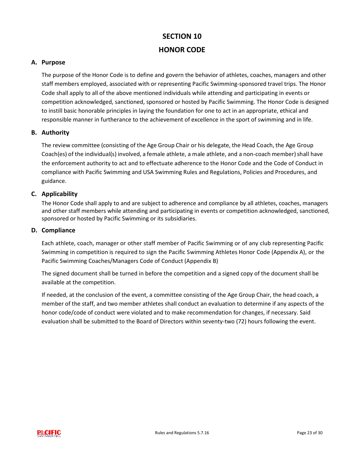# **SECTION 10 HONOR CODE**

#### <span id="page-24-0"></span>**A. Purpose**

The purpose of the Honor Code is to define and govern the behavior of athletes, coaches, managers and other staff members employed, associated with or representing Pacific Swimming-sponsored travel trips. The Honor Code shall apply to all of the above mentioned individuals while attending and participating in events or competition acknowledged, sanctioned, sponsored or hosted by Pacific Swimming. The Honor Code is designed to instill basic honorable principles in laying the foundation for one to act in an appropriate, ethical and responsible manner in furtherance to the achievement of excellence in the sport of swimming and in life.

#### **B. Authority**

The review committee (consisting of the Age Group Chair or his delegate, the Head Coach, the Age Group Coach(es) of the individual(s) involved, a female athlete, a male athlete, and a non-coach member) shall have the enforcement authority to act and to effectuate adherence to the Honor Code and the Code of Conduct in compliance with Pacific Swimming and USA Swimming Rules and Regulations, Policies and Procedures, and guidance.

#### **C. Applicability**

The Honor Code shall apply to and are subject to adherence and compliance by all athletes, coaches, managers and other staff members while attending and participating in events or competition acknowledged, sanctioned, sponsored or hosted by Pacific Swimming or its subsidiaries.

#### **D. Compliance**

Each athlete, coach, manager or other staff member of Pacific Swimming or of any club representing Pacific Swimming in competition is required to sign the Pacific Swimming Athletes Honor Code (Appendix A), or the Pacific Swimming Coaches/Managers Code of Conduct (Appendix B)

The signed document shall be turned in before the competition and a signed copy of the document shall be available at the competition.

If needed, at the conclusion of the event, a committee consisting of the Age Group Chair, the head coach, a member of the staff, and two member athletes shall conduct an evaluation to determine if any aspects of the honor code/code of conduct were violated and to make recommendation for changes, if necessary. Said evaluation shall be submitted to the Board of Directors within seventy-two (72) hours following the event.

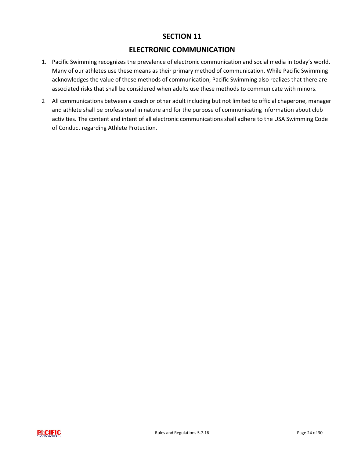# **ELECTRONIC COMMUNICATION**

- <span id="page-25-0"></span>1. Pacific Swimming recognizes the prevalence of electronic communication and social media in today's world. Many of our athletes use these means as their primary method of communication. While Pacific Swimming acknowledges the value of these methods of communication, Pacific Swimming also realizes that there are associated risks that shall be considered when adults use these methods to communicate with minors.
- <span id="page-25-1"></span>2 All communications between a coach or other adult including but not limited to official chaperone, manager and athlete shall be professional in nature and for the purpose of communicating information about club activities. The content and intent of all electronic communications shall adhere to the USA Swimming Code of Conduct regarding Athlete Protection.

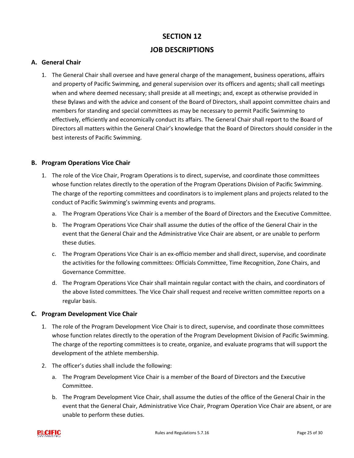# **SECTION 12 JOB DESCRIPTIONS**

#### **A. General Chair**

1. The General Chair shall oversee and have general charge of the management, business operations, affairs and property of Pacific Swimming, and general supervision over its officers and agents; shall call meetings when and where deemed necessary; shall preside at all meetings; and, except as otherwise provided in these Bylaws and with the advice and consent of the Board of Directors, shall appoint committee chairs and members for standing and special committees as may be necessary to permit Pacific Swimming to effectively, efficiently and economically conduct its affairs. The General Chair shall report to the Board of Directors all matters within the General Chair's knowledge that the Board of Directors should consider in the best interests of Pacific Swimming.

#### **B. Program Operations Vice Chair**

- 1. The role of the Vice Chair, Program Operations is to direct, supervise, and coordinate those committees whose function relates directly to the operation of the Program Operations Division of Pacific Swimming. The charge of the reporting committees and coordinators is to implement plans and projects related to the conduct of Pacific Swimming's swimming events and programs.
	- a. The Program Operations Vice Chair is a member of the Board of Directors and the Executive Committee.
	- b. The Program Operations Vice Chair shall assume the duties of the office of the General Chair in the event that the General Chair and the Administrative Vice Chair are absent, or are unable to perform these duties.
	- c. The Program Operations Vice Chair is an ex-officio member and shall direct, supervise, and coordinate the activities for the following committees: Officials Committee, Time Recognition, Zone Chairs, and Governance Committee.
	- d. The Program Operations Vice Chair shall maintain regular contact with the chairs, and coordinators of the above listed committees. The Vice Chair shall request and receive written committee reports on a regular basis.

#### **C. Program Development Vice Chair**

- 1. The role of the Program Development Vice Chair is to direct, supervise, and coordinate those committees whose function relates directly to the operation of the Program Development Division of Pacific Swimming. The charge of the reporting committees is to create, organize, and evaluate programs that will support the development of the athlete membership.
- 2. The officer's duties shall include the following:
	- a. The Program Development Vice Chair is a member of the Board of Directors and the Executive Committee.
	- b. The Program Development Vice Chair, shall assume the duties of the office of the General Chair in the event that the General Chair, Administrative Vice Chair, Program Operation Vice Chair are absent, or are unable to perform these duties.

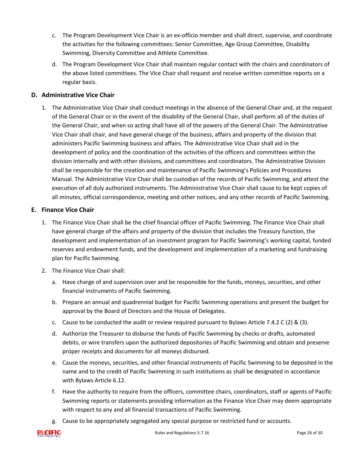- c. The Program Development Vice Chair is an ex-officio member and shall direct, supervise, and coordinate the activities for the following committees: Senior Committee, Age Group Committee, Disability Swimming, Diversity Committee and Athlete Committee.
- d. The Program Development Vice Chair shall maintain regular contact with the chairs and coordinators of the above listed committees. The Vice Chair shall request and receive written committee reports on a regular basis.

## **D. Administrative Vice Chair**

1. The Administrative Vice Chair shall conduct meetings in the absence of the General Chair and, at the request of the General Chair or in the event of the disability of the General Chair, shall perform all of the duties of the General Chair, and when so acting shall have all of the powers of the General Chair. The Administrative Vice Chair shall chair, and have general charge of the business, affairs and property of the division that administers Pacific Swimming business and affairs. The Administrative Vice Chair shall aid in the development of policy and the coordination of the activities of the officers and committees within the division internally and with other divisions, and committees and coordinators. The Administrative Division shall be responsible for the creation and maintenance of Pacific Swimming's Policies and Procedures Manual. The Administrative Vice Chair shall be custodian of the records of Pacific Swimming, and attest the execution of all duly authorized instruments. The Administrative Vice Chair shall cause to be kept copies of all minutes, official correspondence, meeting and other notices, and any other records of Pacific Swimming.

#### **E. Finance Vice Chair**

- 1. The Finance Vice Chair shall be the chief financial officer of Pacific Swimming. The Finance Vice Chair shall have general charge of the affairs and property of the division that includes the Treasury function, the development and implementation of an investment program for Pacific Swimming's working capital, funded reserves and endowment funds, and the development and implementation of a marketing and fundraising plan for Pacific Swimming.
- 2. The Finance Vice Chair shall:
	- a. Have charge of and supervision over and be responsible for the funds, moneys, securities, and other financial instruments of Pacific Swimming.
	- b. Prepare an annual and quadrennial budget for Pacific Swimming operations and present the budget for approval by the Board of Directors and the House of Delegates.
	- c. Cause to be conducted the audit or review required pursuant to Bylaws Article 7.4.2 C (2) & (3).
	- d. Authorize the Treasurer to disburse the funds of Pacific Swimming by checks or drafts, automated debits, or wire transfers upon the authorized depositories of Pacific Swimming and obtain and preserve proper receipts and documents for all moneys disbursed.
	- e. Cause the moneys, securities, and other financial instruments of Pacific Swimming to be deposited in the name and to the credit of Pacific Swimming in such institutions as shall be designated in accordance with Bylaws Article 6.12.
	- f. Have the authority to require from the officers, committee chairs, coordinators, staff or agents of Pacific Swimming reports or statements providing information as the Finance Vice Chair may deem appropriate with respect to any and all financial transactions of Pacific Swimming.
	- g. Cause to be appropriately segregated any special purpose or restricted fund or accounts.

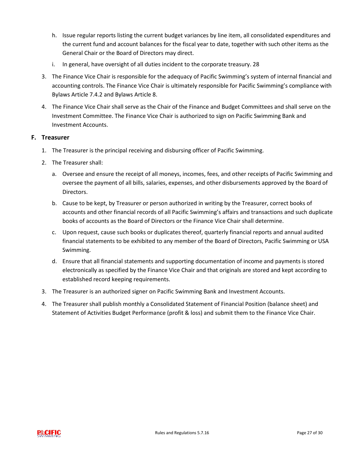- h. Issue regular reports listing the current budget variances by line item, all consolidated expenditures and the current fund and account balances for the fiscal year to date, together with such other items as the General Chair or the Board of Directors may direct.
- i. In general, have oversight of all duties incident to the corporate treasury. 28
- 3. The Finance Vice Chair is responsible for the adequacy of Pacific Swimming's system of internal financial and accounting controls. The Finance Vice Chair is ultimately responsible for Pacific Swimming's compliance with Bylaws Article 7.4.2 and Bylaws Article 8.
- 4. The Finance Vice Chair shall serve as the Chair of the Finance and Budget Committees and shall serve on the Investment Committee. The Finance Vice Chair is authorized to sign on Pacific Swimming Bank and Investment Accounts.

#### **F. Treasurer**

- 1. The Treasurer is the principal receiving and disbursing officer of Pacific Swimming.
- 2. The Treasurer shall:
	- a. Oversee and ensure the receipt of all moneys, incomes, fees, and other receipts of Pacific Swimming and oversee the payment of all bills, salaries, expenses, and other disbursements approved by the Board of Directors.
	- b. Cause to be kept, by Treasurer or person authorized in writing by the Treasurer, correct books of accounts and other financial records of all Pacific Swimming's affairs and transactions and such duplicate books of accounts as the Board of Directors or the Finance Vice Chair shall determine.
	- c. Upon request, cause such books or duplicates thereof, quarterly financial reports and annual audited financial statements to be exhibited to any member of the Board of Directors, Pacific Swimming or USA Swimming.
	- d. Ensure that all financial statements and supporting documentation of income and payments is stored electronically as specified by the Finance Vice Chair and that originals are stored and kept according to established record keeping requirements.
- 3. The Treasurer is an authorized signer on Pacific Swimming Bank and Investment Accounts.
- 4. The Treasurer shall publish monthly a Consolidated Statement of Financial Position (balance sheet) and Statement of Activities Budget Performance (profit & loss) and submit them to the Finance Vice Chair.

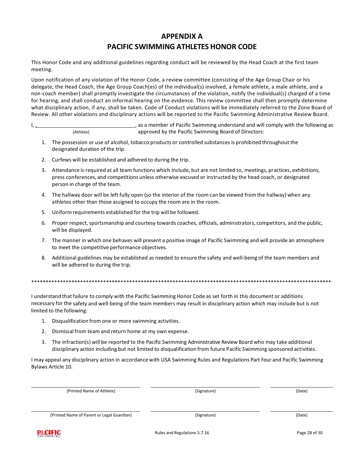# **APPENDIX A PACIFIC SWIMMING ATHLETES HONOR CODE**

This Honor Code and any additional guidelines regarding conduct will be reviewed by the Head Coach at the first team meeting.

Upon notification of any violation of the Honor Code, a review committee (consisting of the Age Group Chair or his delegate, the Head Coach, the Age Group Coach(es) of the individual(s) involved, a female athlete, a male athlete, and a non-coach member) shall promptly investigate the circumstances of the violation, notify the individual(s) charged of a time for hearing, and shall conduct an informal hearing on the evidence. This review committee shall then promptly determine what disciplinary action, if any, shall be taken. Code of Conduct violations will be immediately referred to the Zone Board of Review. All other violations and disciplinary actions will be reported to the Pacific Swimming Administrative Review Board.

I, 1. 1. As a member of Pacific Swimming understand and will comply with the following as (Athlete) approved by the Pacific Swimming Board of Directors:

- 1. The possession or use of alcohol, tobacco products or controlled substances is prohibited throughout the designated duration of the trip.
- 2. Curfews will be established and adhered to during the trip.
- 3. Attendance is required at all team functions which include, but are not limited to, meetings, practices, exhibitions, press conferences, and competitions unless otherwise excused or instructed by the head coach, or designated person in charge of the team.
- 4. The hallway door will be left fully open (so the interior of the room can be viewed from the hallway) when any athletes other than those assigned to occupy the room are in the room.
- 5. Uniform requirements established for the trip will be followed.
- 6. Proper respect, sportsmanship and courtesy towards coaches, officials, administrators, competitors, and the public, will be displayed.
- 7. The manner in which one behaves will present a positive image of Pacific Swimming and will provide an atmosphere to meet the competitive performance objectives.
- 8. Additional guidelines may be established as needed to ensure the safety and well-being of the team members and will be adhered to during the trip.

\*\*\*\*\*\*\*\*\*\*\*\*\*\*\*\*\*\*\*\*\*\*\*\*\*\*\*\*\*\*\*\*\*\*\*\*\*\*\*\*\*\*\*\*\*\*\*\*\*\*\*\*\*\*\*\*\*\*\*\*\*\*\*\*\*\*\*\*\*\*\*\*\*\*\*\*\*\*\*\*\*\*\*\*\*\*\*\*\*\*\*\*\*\*\*\*\*\*\*\*\*\*\*\*

I understand that failure to comply with the Pacific Swimming Honor Code as set forth in this document or additions necessary for the safety and well-being of the team members may result in disciplinary action which may include but is not limited to the following:

- 1. Disqualification from one or more swimming activities.
- 2. Dismissal from team and return home at my own expense.
- 3. The infraction(s) will be reported to the Pacific Swimming Administrative Review Board who may take additional disciplinary action including but not limited to disqualification from future Pacific Swimming sponsored activities.

I may appeal any disciplinary action in accordance with USA Swimming Rules and Regulations Part Four and Pacific Swimming Bylaws Article 10.

| (Printed Name of Athlete)                  | (Signature) | (Date) |
|--------------------------------------------|-------------|--------|
|                                            |             |        |
| (Printed Name of Parent or Legal Guardian) | (Signature) | (Date) |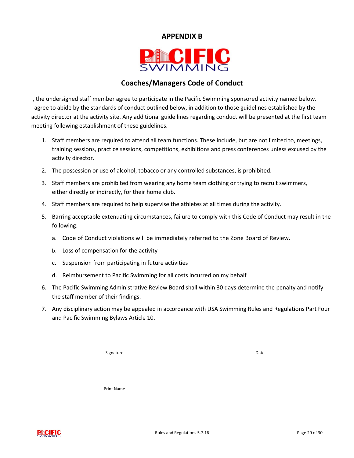# <span id="page-30-0"></span>**APPENDIX B**



# **Coaches/Managers Code of Conduct**

I, the undersigned staff member agree to participate in the Pacific Swimming sponsored activity named below. I agree to abide by the standards of conduct outlined below, in addition to those guidelines established by the activity director at the activity site. Any additional guide lines regarding conduct will be presented at the first team meeting following establishment of these guidelines.

- 1. Staff members are required to attend all team functions. These include, but are not limited to, meetings, training sessions, practice sessions, competitions, exhibitions and press conferences unless excused by the activity director.
- 2. The possession or use of alcohol, tobacco or any controlled substances, is prohibited.
- 3. Staff members are prohibited from wearing any home team clothing or trying to recruit swimmers, either directly or indirectly, for their home club.
- 4. Staff members are required to help supervise the athletes at all times during the activity.
- 5. Barring acceptable extenuating circumstances, failure to comply with this Code of Conduct may result in the following:
	- a. Code of Conduct violations will be immediately referred to the Zone Board of Review.
	- b. Loss of compensation for the activity
	- c. Suspension from participating in future activities
	- d. Reimbursement to Pacific Swimming for all costs incurred on my behalf
- 6. The Pacific Swimming Administrative Review Board shall within 30 days determine the penalty and notify the staff member of their findings.
- 7. Any disciplinary action may be appealed in accordance with USA Swimming Rules and Regulations Part Four and Pacific Swimming Bylaws Article 10.

Signature **Date** 

Print Name

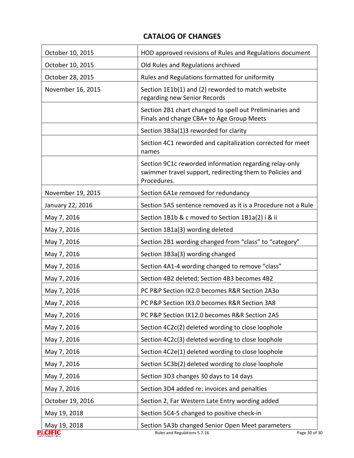# **CATALOG OF CHANGES**

<span id="page-31-0"></span>

| Old Rules and Regulations archived<br>October 10, 2015<br>Rules and Regulations formatted for uniformity<br>October 28, 2015<br>Section 1E1b(1) and (2) reworded to match website<br>November 16, 2015<br>regarding new Senior Records<br>Section 2B1 chart changed to spell out Preliminaries and<br>Finals and change CBA+ to Age Group Meets<br>Section 3B3a(1)3 reworded for clarity<br>Section 4C1 reworded and capitalization corrected for meet<br>names<br>Section 9C1c reworded information regarding relay-only<br>swimmer travel support, redirecting them to Policies and<br>Procedures.<br>November 19, 2015<br>Section 6A1e removed for redundancy | HOD approved revisions of Rules and Regulations document |
|------------------------------------------------------------------------------------------------------------------------------------------------------------------------------------------------------------------------------------------------------------------------------------------------------------------------------------------------------------------------------------------------------------------------------------------------------------------------------------------------------------------------------------------------------------------------------------------------------------------------------------------------------------------|----------------------------------------------------------|
|                                                                                                                                                                                                                                                                                                                                                                                                                                                                                                                                                                                                                                                                  |                                                          |
|                                                                                                                                                                                                                                                                                                                                                                                                                                                                                                                                                                                                                                                                  |                                                          |
|                                                                                                                                                                                                                                                                                                                                                                                                                                                                                                                                                                                                                                                                  |                                                          |
|                                                                                                                                                                                                                                                                                                                                                                                                                                                                                                                                                                                                                                                                  |                                                          |
|                                                                                                                                                                                                                                                                                                                                                                                                                                                                                                                                                                                                                                                                  |                                                          |
|                                                                                                                                                                                                                                                                                                                                                                                                                                                                                                                                                                                                                                                                  |                                                          |
|                                                                                                                                                                                                                                                                                                                                                                                                                                                                                                                                                                                                                                                                  |                                                          |
|                                                                                                                                                                                                                                                                                                                                                                                                                                                                                                                                                                                                                                                                  |                                                          |
| Section 5A5 sentence removed as it is a Procedure not a Rule<br>January 22, 2016                                                                                                                                                                                                                                                                                                                                                                                                                                                                                                                                                                                 |                                                          |
| Section 1B1b & c moved to Section 1B1a(2) i & ii<br>May 7, 2016                                                                                                                                                                                                                                                                                                                                                                                                                                                                                                                                                                                                  |                                                          |
| Section 1B1a(3) wording deleted<br>May 7, 2016                                                                                                                                                                                                                                                                                                                                                                                                                                                                                                                                                                                                                   |                                                          |
| Section 2B1 wording changed from "class" to "category"<br>May 7, 2016                                                                                                                                                                                                                                                                                                                                                                                                                                                                                                                                                                                            |                                                          |
| Section 3B3a(3) wording changed<br>May 7, 2016                                                                                                                                                                                                                                                                                                                                                                                                                                                                                                                                                                                                                   |                                                          |
| Section 4A1-4 wording changed to remove "class"<br>May 7, 2016                                                                                                                                                                                                                                                                                                                                                                                                                                                                                                                                                                                                   |                                                          |
| Section 4B2 deleted; Section 4B3 becomes 4B2<br>May 7, 2016                                                                                                                                                                                                                                                                                                                                                                                                                                                                                                                                                                                                      |                                                          |
| PC P&P Section IX2.0 becomes R&R Section 2A3o<br>May 7, 2016                                                                                                                                                                                                                                                                                                                                                                                                                                                                                                                                                                                                     |                                                          |
| PC P&P Section IX3.0 becomes R&R Section 3A8<br>May 7, 2016                                                                                                                                                                                                                                                                                                                                                                                                                                                                                                                                                                                                      |                                                          |
| PC P&P Section IX12.0 becomes R&R Section 2A5<br>May 7, 2016                                                                                                                                                                                                                                                                                                                                                                                                                                                                                                                                                                                                     |                                                          |
| May 7, 2016<br>Section 4C2c(2) deleted wording to close loophole                                                                                                                                                                                                                                                                                                                                                                                                                                                                                                                                                                                                 |                                                          |
| Section 4C2c(3) deleted wording to close loophole<br>May 7, 2016                                                                                                                                                                                                                                                                                                                                                                                                                                                                                                                                                                                                 |                                                          |
| Section 4C2e(1) deleted wording to close loophole<br>May 7, 2016                                                                                                                                                                                                                                                                                                                                                                                                                                                                                                                                                                                                 |                                                          |
| Section 5C3b(2) deleted wording to close loophole<br>May 7, 2016                                                                                                                                                                                                                                                                                                                                                                                                                                                                                                                                                                                                 |                                                          |
| May 7, 2016<br>Section 3D3 changes 30 days to 14 days                                                                                                                                                                                                                                                                                                                                                                                                                                                                                                                                                                                                            |                                                          |
| May 7, 2016<br>Section 3D4 added re: invoices and penalties                                                                                                                                                                                                                                                                                                                                                                                                                                                                                                                                                                                                      |                                                          |
| October 19, 2016<br>Section 2, Far Western Late Entry wording added                                                                                                                                                                                                                                                                                                                                                                                                                                                                                                                                                                                              |                                                          |
| Section 5C4-5 changed to positive check-in<br>May 19, 2018                                                                                                                                                                                                                                                                                                                                                                                                                                                                                                                                                                                                       |                                                          |
| May 19, 2018<br>Section 5A3b changed Senior Open Meet parameters<br>CIFIC<br>Rules and Regulations 5.7.16                                                                                                                                                                                                                                                                                                                                                                                                                                                                                                                                                        | Page 30 of 30                                            |